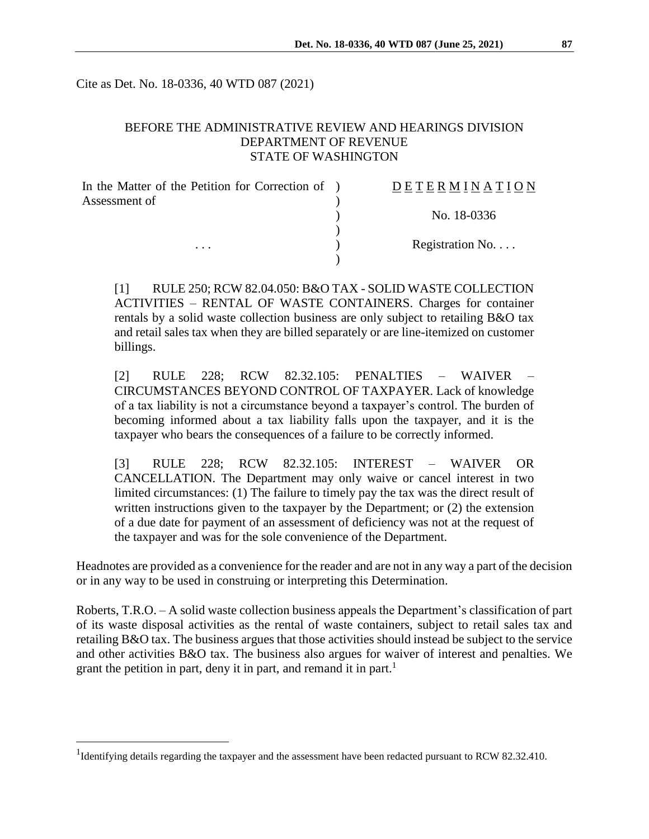Cite as Det. No. 18-0336, 40 WTD 087 (2021)

### BEFORE THE ADMINISTRATIVE REVIEW AND HEARINGS DIVISION DEPARTMENT OF REVENUE STATE OF WASHINGTON

| In the Matter of the Petition for Correction of ) | DETERMINATION   |
|---------------------------------------------------|-----------------|
| Assessment of<br>$\cdots$                         |                 |
|                                                   | No. 18-0336     |
|                                                   |                 |
|                                                   | Registration No |
|                                                   |                 |

[1] RULE 250; RCW 82.04.050: B&O TAX - SOLID WASTE COLLECTION ACTIVITIES – RENTAL OF WASTE CONTAINERS. Charges for container rentals by a solid waste collection business are only subject to retailing B&O tax and retail sales tax when they are billed separately or are line-itemized on customer billings.

[2] RULE 228; RCW 82.32.105: PENALTIES – WAIVER – CIRCUMSTANCES BEYOND CONTROL OF TAXPAYER. Lack of knowledge of a tax liability is not a circumstance beyond a taxpayer's control. The burden of becoming informed about a tax liability falls upon the taxpayer, and it is the taxpayer who bears the consequences of a failure to be correctly informed.

[3] RULE 228; RCW 82.32.105: INTEREST – WAIVER OR CANCELLATION. The Department may only waive or cancel interest in two limited circumstances: (1) The failure to timely pay the tax was the direct result of written instructions given to the taxpayer by the Department; or (2) the extension of a due date for payment of an assessment of deficiency was not at the request of the taxpayer and was for the sole convenience of the Department.

Headnotes are provided as a convenience for the reader and are not in any way a part of the decision or in any way to be used in construing or interpreting this Determination.

Roberts, T.R.O. – A solid waste collection business appeals the Department's classification of part of its waste disposal activities as the rental of waste containers, subject to retail sales tax and retailing B&O tax. The business argues that those activities should instead be subject to the service and other activities B&O tax. The business also argues for waiver of interest and penalties. We grant the petition in part, deny it in part, and remand it in part.<sup>1</sup>

 $\overline{a}$ 

<sup>&</sup>lt;sup>1</sup>Identifying details regarding the taxpayer and the assessment have been redacted pursuant to RCW 82.32.410.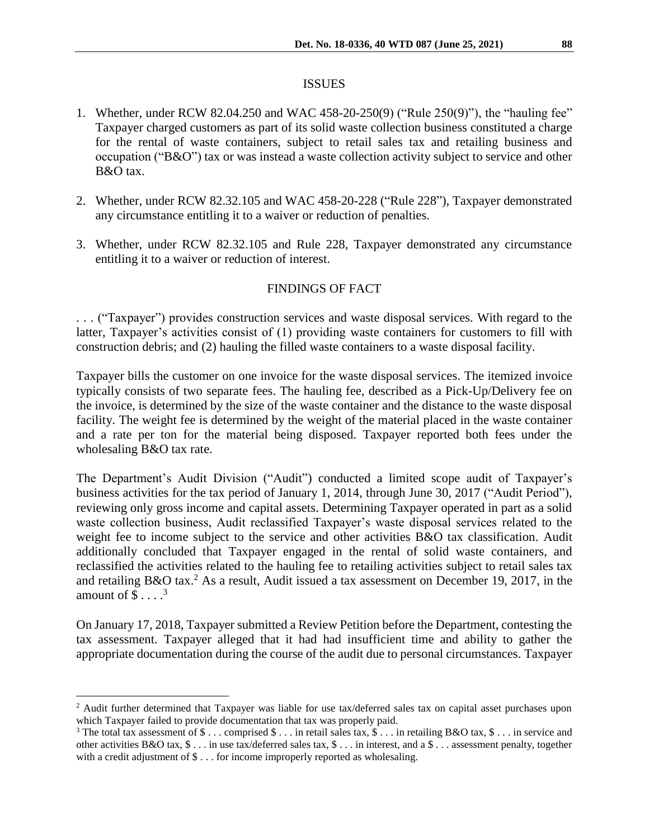#### ISSUES

- 1. Whether, under RCW 82.04.250 and WAC 458-20-250(9) ("Rule 250(9)"), the "hauling fee" Taxpayer charged customers as part of its solid waste collection business constituted a charge for the rental of waste containers, subject to retail sales tax and retailing business and occupation ("B&O") tax or was instead a waste collection activity subject to service and other B&O tax.
- 2. Whether, under RCW 82.32.105 and WAC 458-20-228 ("Rule 228"), Taxpayer demonstrated any circumstance entitling it to a waiver or reduction of penalties.
- 3. Whether, under RCW 82.32.105 and Rule 228, Taxpayer demonstrated any circumstance entitling it to a waiver or reduction of interest.

#### FINDINGS OF FACT

. . . ("Taxpayer") provides construction services and waste disposal services. With regard to the latter, Taxpayer's activities consist of (1) providing waste containers for customers to fill with construction debris; and (2) hauling the filled waste containers to a waste disposal facility.

Taxpayer bills the customer on one invoice for the waste disposal services. The itemized invoice typically consists of two separate fees. The hauling fee, described as a Pick-Up/Delivery fee on the invoice, is determined by the size of the waste container and the distance to the waste disposal facility. The weight fee is determined by the weight of the material placed in the waste container and a rate per ton for the material being disposed. Taxpayer reported both fees under the wholesaling B&O tax rate.

The Department's Audit Division ("Audit") conducted a limited scope audit of Taxpayer's business activities for the tax period of January 1, 2014, through June 30, 2017 ("Audit Period"), reviewing only gross income and capital assets. Determining Taxpayer operated in part as a solid waste collection business, Audit reclassified Taxpayer's waste disposal services related to the weight fee to income subject to the service and other activities B&O tax classification. Audit additionally concluded that Taxpayer engaged in the rental of solid waste containers, and reclassified the activities related to the hauling fee to retailing activities subject to retail sales tax and retailing  $B&O$  tax.<sup>2</sup> As a result, Audit issued a tax assessment on December 19, 2017, in the amount of  $\$ \dots$ <sup>3</sup>

On January 17, 2018, Taxpayer submitted a Review Petition before the Department, contesting the tax assessment. Taxpayer alleged that it had had insufficient time and ability to gather the appropriate documentation during the course of the audit due to personal circumstances. Taxpayer

 $\overline{a}$ 

<sup>&</sup>lt;sup>2</sup> Audit further determined that Taxpayer was liable for use tax/deferred sales tax on capital asset purchases upon which Taxpayer failed to provide documentation that tax was properly paid.

<sup>&</sup>lt;sup>3</sup> The total tax assessment of  $\mathcal{S} \dots$  comprised  $\mathcal{S} \dots$  in retail sales tax,  $\mathcal{S} \dots$  in retailing B&O tax,  $\mathcal{S} \dots$  in service and other activities  $B&O$  tax,  $\$ \dots$  in use tax/deferred sales tax,  $\$ \dots$  in interest, and a  $\$ \dots$  assessment penalty, together with a credit adjustment of  $\$ \dots$  for income improperly reported as wholesaling.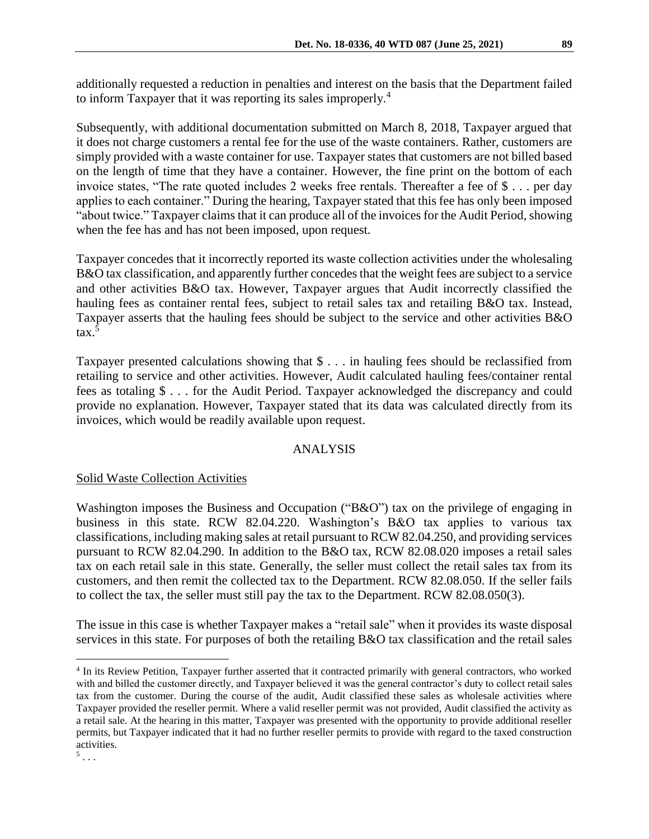additionally requested a reduction in penalties and interest on the basis that the Department failed to inform Taxpayer that it was reporting its sales improperly.<sup>4</sup>

Subsequently, with additional documentation submitted on March 8, 2018, Taxpayer argued that it does not charge customers a rental fee for the use of the waste containers. Rather, customers are simply provided with a waste container for use. Taxpayer states that customers are not billed based on the length of time that they have a container. However, the fine print on the bottom of each invoice states, "The rate quoted includes 2 weeks free rentals. Thereafter a fee of \$ . . . per day applies to each container." During the hearing, Taxpayer stated that this fee has only been imposed "about twice." Taxpayer claims that it can produce all of the invoices for the Audit Period, showing when the fee has and has not been imposed, upon request.

Taxpayer concedes that it incorrectly reported its waste collection activities under the wholesaling B&O tax classification, and apparently further concedes that the weight fees are subject to a service and other activities B&O tax. However, Taxpayer argues that Audit incorrectly classified the hauling fees as container rental fees, subject to retail sales tax and retailing B&O tax. Instead, Taxpayer asserts that the hauling fees should be subject to the service and other activities B&O tax. 5

Taxpayer presented calculations showing that \$ . . . in hauling fees should be reclassified from retailing to service and other activities. However, Audit calculated hauling fees/container rental fees as totaling \$ . . . for the Audit Period. Taxpayer acknowledged the discrepancy and could provide no explanation. However, Taxpayer stated that its data was calculated directly from its invoices, which would be readily available upon request.

# ANALYSIS

## Solid Waste Collection Activities

Washington imposes the Business and Occupation ("B&O") tax on the privilege of engaging in business in this state. RCW 82.04.220. Washington's B&O tax applies to various tax classifications, including making sales at retail pursuant to RCW 82.04.250, and providing services pursuant to RCW 82.04.290. In addition to the B&O tax, RCW 82.08.020 imposes a retail sales tax on each retail sale in this state. Generally, the seller must collect the retail sales tax from its customers, and then remit the collected tax to the Department. RCW 82.08.050. If the seller fails to collect the tax, the seller must still pay the tax to the Department. RCW 82.08.050(3).

The issue in this case is whether Taxpayer makes a "retail sale" when it provides its waste disposal services in this state. For purposes of both the retailing B&O tax classification and the retail sales

 $\overline{a}$ 

<sup>&</sup>lt;sup>4</sup> In its Review Petition, Taxpayer further asserted that it contracted primarily with general contractors, who worked with and billed the customer directly, and Taxpayer believed it was the general contractor's duty to collect retail sales tax from the customer. During the course of the audit, Audit classified these sales as wholesale activities where Taxpayer provided the reseller permit. Where a valid reseller permit was not provided, Audit classified the activity as a retail sale. At the hearing in this matter, Taxpayer was presented with the opportunity to provide additional reseller permits, but Taxpayer indicated that it had no further reseller permits to provide with regard to the taxed construction activities.

 $\frac{5}{1}$ ...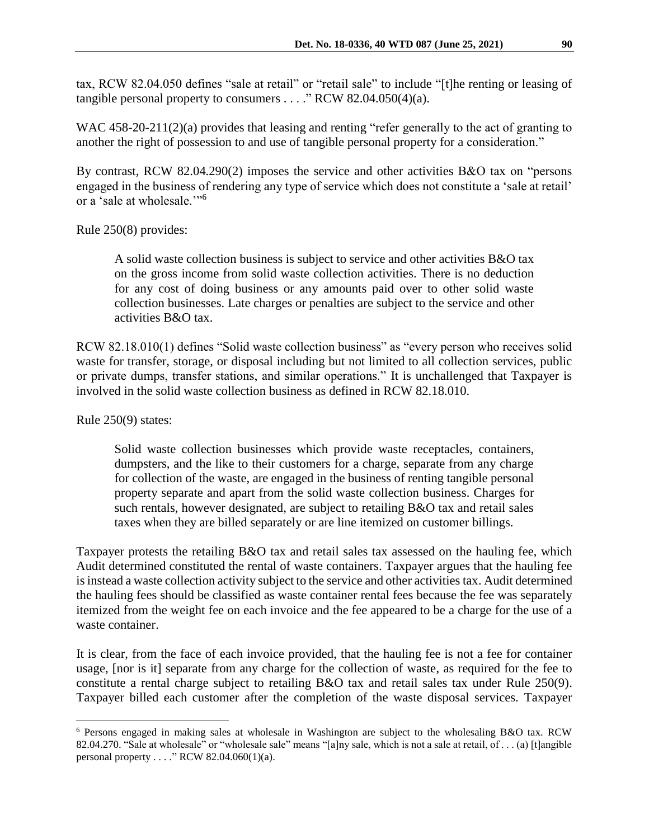tax, RCW 82.04.050 defines "sale at retail" or "retail sale" to include "[t]he renting or leasing of tangible personal property to consumers  $\dots$  "RCW 82.04.050(4)(a).

WAC 458-20-211(2)(a) provides that leasing and renting "refer generally to the act of granting to another the right of possession to and use of tangible personal property for a consideration."

By contrast, RCW 82.04.290(2) imposes the service and other activities B&O tax on "persons engaged in the business of rendering any type of service which does not constitute a 'sale at retail' or a 'sale at wholesale.'"<sup>6</sup>

#### Rule 250(8) provides:

A solid waste collection business is subject to service and other activities B&O tax on the gross income from solid waste collection activities. There is no deduction for any cost of doing business or any amounts paid over to other solid waste collection businesses. Late charges or penalties are subject to the service and other activities B&O tax.

RCW 82.18.010(1) defines "Solid waste collection business" as "every person who receives solid waste for transfer, storage, or disposal including but not limited to all collection services, public or private dumps, transfer stations, and similar operations." It is unchallenged that Taxpayer is involved in the solid waste collection business as defined in RCW 82.18.010.

Rule 250(9) states:

 $\overline{a}$ 

Solid waste collection businesses which provide waste receptacles, containers, dumpsters, and the like to their customers for a charge, separate from any charge for collection of the waste, are engaged in the business of renting tangible personal property separate and apart from the solid waste collection business. Charges for such rentals, however designated, are subject to retailing B&O tax and retail sales taxes when they are billed separately or are line itemized on customer billings.

Taxpayer protests the retailing B&O tax and retail sales tax assessed on the hauling fee, which Audit determined constituted the rental of waste containers. Taxpayer argues that the hauling fee isinstead a waste collection activity subject to the service and other activities tax. Audit determined the hauling fees should be classified as waste container rental fees because the fee was separately itemized from the weight fee on each invoice and the fee appeared to be a charge for the use of a waste container.

It is clear, from the face of each invoice provided, that the hauling fee is not a fee for container usage, [nor is it] separate from any charge for the collection of waste, as required for the fee to constitute a rental charge subject to retailing B&O tax and retail sales tax under Rule 250(9). Taxpayer billed each customer after the completion of the waste disposal services. Taxpayer

<sup>6</sup> Persons engaged in making sales at wholesale in Washington are subject to the wholesaling B&O tax. RCW 82.04.270. "Sale at wholesale" or "wholesale sale" means "[a]ny sale, which is not a sale at retail, of . . . (a) [t]angible personal property . . . ." RCW 82.04.060(1)(a).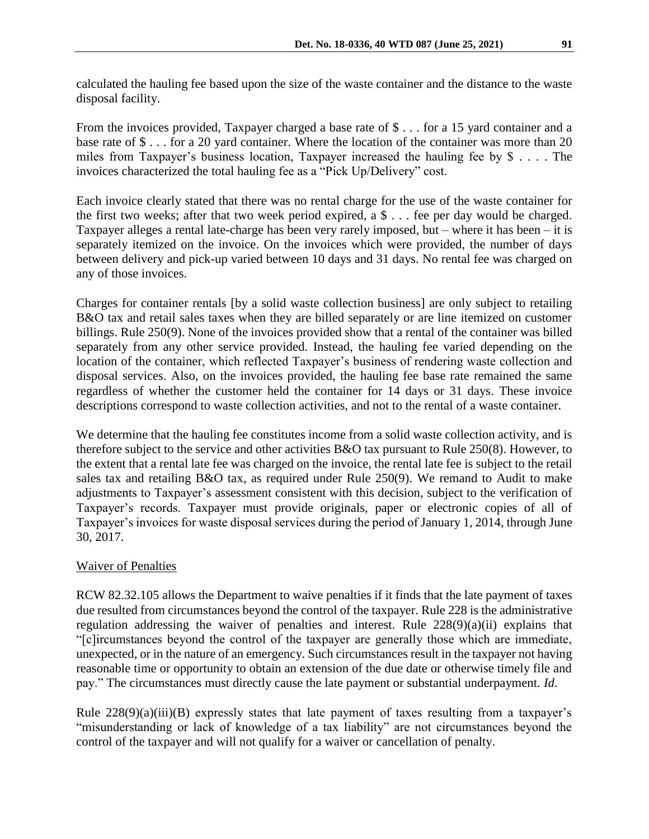calculated the hauling fee based upon the size of the waste container and the distance to the waste disposal facility.

From the invoices provided, Taxpayer charged a base rate of \$ . . . for a 15 yard container and a base rate of \$ . . . for a 20 yard container. Where the location of the container was more than 20 miles from Taxpayer's business location, Taxpayer increased the hauling fee by \$ . . . . The invoices characterized the total hauling fee as a "Pick Up/Delivery" cost.

Each invoice clearly stated that there was no rental charge for the use of the waste container for the first two weeks; after that two week period expired, a \$ . . . fee per day would be charged. Taxpayer alleges a rental late-charge has been very rarely imposed, but – where it has been – it is separately itemized on the invoice. On the invoices which were provided, the number of days between delivery and pick-up varied between 10 days and 31 days. No rental fee was charged on any of those invoices.

Charges for container rentals [by a solid waste collection business] are only subject to retailing B&O tax and retail sales taxes when they are billed separately or are line itemized on customer billings. Rule 250(9). None of the invoices provided show that a rental of the container was billed separately from any other service provided. Instead, the hauling fee varied depending on the location of the container, which reflected Taxpayer's business of rendering waste collection and disposal services. Also, on the invoices provided, the hauling fee base rate remained the same regardless of whether the customer held the container for 14 days or 31 days. These invoice descriptions correspond to waste collection activities, and not to the rental of a waste container.

We determine that the hauling fee constitutes income from a solid waste collection activity, and is therefore subject to the service and other activities B&O tax pursuant to Rule 250(8). However, to the extent that a rental late fee was charged on the invoice, the rental late fee is subject to the retail sales tax and retailing B&O tax, as required under Rule 250(9). We remand to Audit to make adjustments to Taxpayer's assessment consistent with this decision, subject to the verification of Taxpayer's records. Taxpayer must provide originals, paper or electronic copies of all of Taxpayer's invoices for waste disposal services during the period of January 1, 2014, through June 30, 2017.

#### Waiver of Penalties

RCW 82.32.105 allows the Department to waive penalties if it finds that the late payment of taxes due resulted from circumstances beyond the control of the taxpayer. Rule 228 is the administrative regulation addressing the waiver of penalties and interest. Rule  $228(9)(a)(ii)$  explains that "[c]ircumstances beyond the control of the taxpayer are generally those which are immediate, unexpected, or in the nature of an emergency. Such circumstances result in the taxpayer not having reasonable time or opportunity to obtain an extension of the due date or otherwise timely file and pay." The circumstances must directly cause the late payment or substantial underpayment. *Id*.

Rule  $228(9)(a)(iii)(B)$  expressly states that late payment of taxes resulting from a taxpayer's "misunderstanding or lack of knowledge of a tax liability" are not circumstances beyond the control of the taxpayer and will not qualify for a waiver or cancellation of penalty.